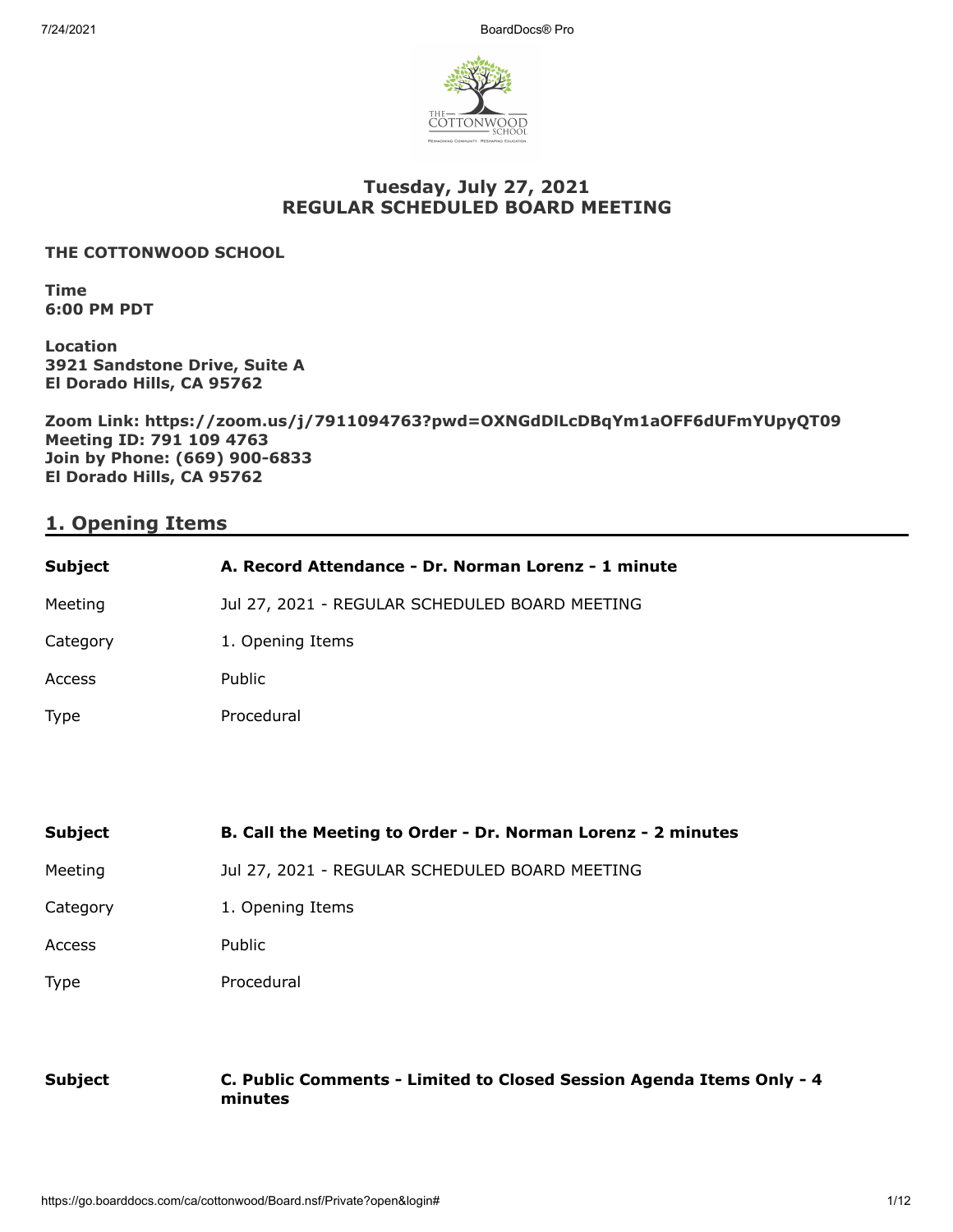

# **Tuesday, July 27, 2021 REGULAR SCHEDULED BOARD MEETING**

#### **THE COTTONWOOD SCHOOL**

**Time 6:00 PM PDT**

**Location 3921 Sandstone Drive, Suite A El Dorado Hills, CA 95762**

**Zoom Link: https://zoom.us/j/7911094763?pwd=OXNGdDlLcDBqYm1aOFF6dUFmYUpyQT09 Meeting ID: 791 109 4763 Join by Phone: (669) 900-6833 El Dorado Hills, CA 95762**

# **1. Opening Items**

| <b>Subject</b>                        | A. Record Attendance - Dr. Norman Lorenz - 1 minute          |
|---------------------------------------|--------------------------------------------------------------|
| Meeting                               | Jul 27, 2021 - REGULAR SCHEDULED BOARD MEETING               |
| Category                              | 1. Opening Items                                             |
| Access                                | Public                                                       |
| Type                                  | Procedural                                                   |
|                                       |                                                              |
|                                       |                                                              |
|                                       | B. Call the Meeting to Order - Dr. Norman Lorenz - 2 minutes |
|                                       | Jul 27, 2021 - REGULAR SCHEDULED BOARD MEETING               |
| <b>Subject</b><br>Meeting<br>Category | 1. Opening Items                                             |
|                                       | Public                                                       |
| Access<br>Type                        | Procedural                                                   |
|                                       |                                                              |

**Subject C. Public Comments - Limited to Closed Session Agenda Items Only - 4 minutes**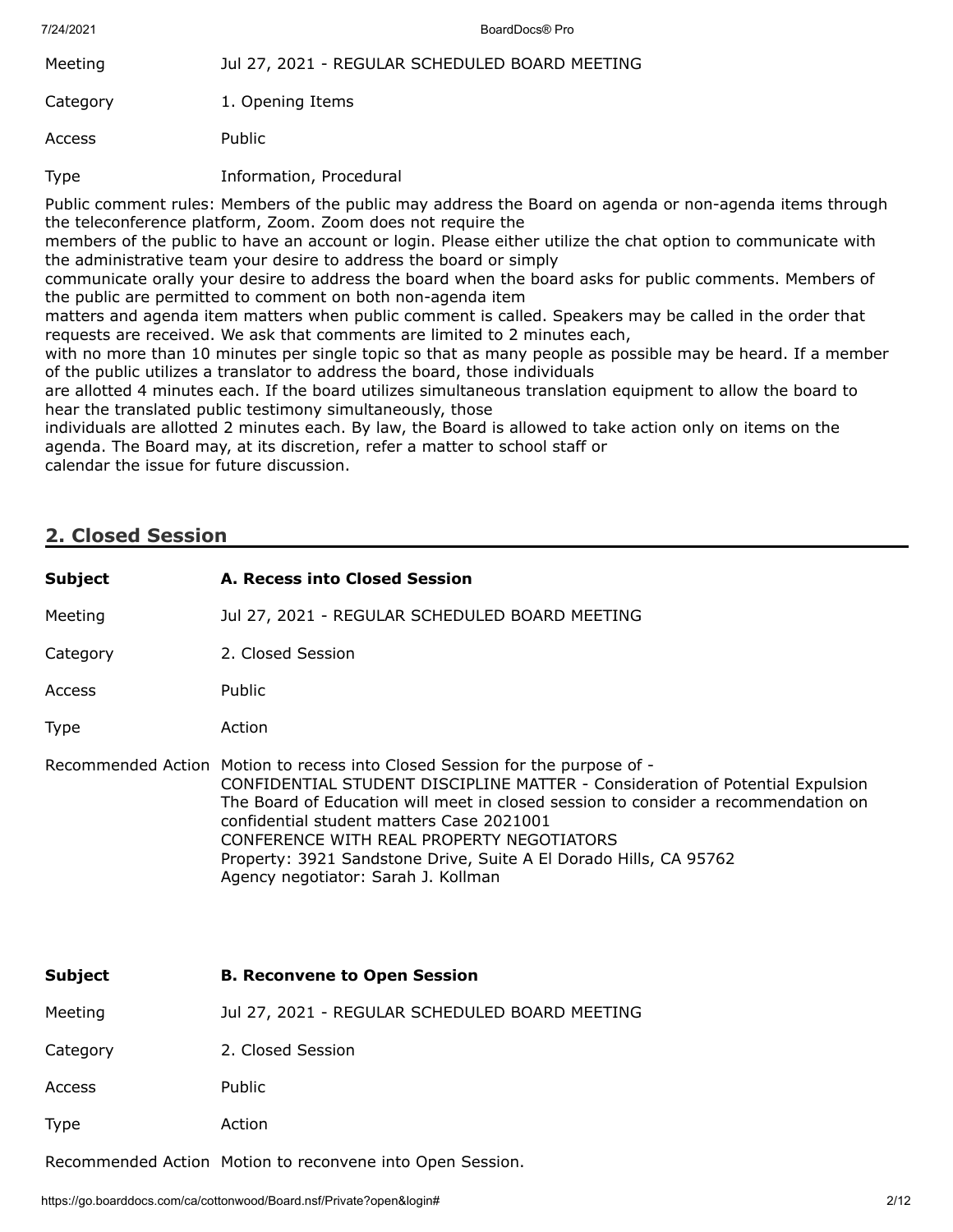| 7/24/2021                                                                                                                                                                                                                                                                                                                                                                                                                                                                | BoardDocs® Pro                                 |
|--------------------------------------------------------------------------------------------------------------------------------------------------------------------------------------------------------------------------------------------------------------------------------------------------------------------------------------------------------------------------------------------------------------------------------------------------------------------------|------------------------------------------------|
| Meeting                                                                                                                                                                                                                                                                                                                                                                                                                                                                  | Jul 27, 2021 - REGULAR SCHEDULED BOARD MEETING |
| Category                                                                                                                                                                                                                                                                                                                                                                                                                                                                 | 1. Opening Items                               |
| Access                                                                                                                                                                                                                                                                                                                                                                                                                                                                   | Public                                         |
| <b>Type</b>                                                                                                                                                                                                                                                                                                                                                                                                                                                              | Information, Procedural                        |
| Public comment rules: Members of the public may address the Board on agenda or non-agenda items through<br>the teleconference platform, Zoom. Zoom does not require the<br>members of the public to have an account or login. Please either utilize the chat option to communicate with<br>the administrative team your desire to address the board or simply<br>communicate orally your desire to address the board when the board asks for public comments. Members of |                                                |

communicate orally your desire to address the board when the board asks for public comments. Members of the public are permitted to comment on both non-agenda item

matters and agenda item matters when public comment is called. Speakers may be called in the order that requests are received. We ask that comments are limited to 2 minutes each,

with no more than 10 minutes per single topic so that as many people as possible may be heard. If a member of the public utilizes a translator to address the board, those individuals

are allotted 4 minutes each. If the board utilizes simultaneous translation equipment to allow the board to hear the translated public testimony simultaneously, those

individuals are allotted 2 minutes each. By law, the Board is allowed to take action only on items on the agenda. The Board may, at its discretion, refer a matter to school staff or calendar the issue for future discussion.

# **2. Closed Session**

| <b>Subject</b> | A. Recess into Closed Session                                                                                                                                                                                                                                                                                                                                                                                                                             |
|----------------|-----------------------------------------------------------------------------------------------------------------------------------------------------------------------------------------------------------------------------------------------------------------------------------------------------------------------------------------------------------------------------------------------------------------------------------------------------------|
| Meeting        | Jul 27, 2021 - REGULAR SCHEDULED BOARD MEETING                                                                                                                                                                                                                                                                                                                                                                                                            |
| Category       | 2. Closed Session                                                                                                                                                                                                                                                                                                                                                                                                                                         |
| Access         | Public                                                                                                                                                                                                                                                                                                                                                                                                                                                    |
| <b>Type</b>    | Action                                                                                                                                                                                                                                                                                                                                                                                                                                                    |
|                | Recommended Action Motion to recess into Closed Session for the purpose of -<br>CONFIDENTIAL STUDENT DISCIPLINE MATTER - Consideration of Potential Expulsion<br>The Board of Education will meet in closed session to consider a recommendation on<br>confidential student matters Case 2021001<br>CONFERENCE WITH REAL PROPERTY NEGOTIATORS<br>Property: 3921 Sandstone Drive, Suite A El Dorado Hills, CA 95762<br>Agency negotiator: Sarah J. Kollman |
| <b>Subject</b> | <b>B. Reconvene to Open Session</b>                                                                                                                                                                                                                                                                                                                                                                                                                       |
| Meeting        | Jul 27, 2021 - REGULAR SCHEDULED BOARD MEETING                                                                                                                                                                                                                                                                                                                                                                                                            |
| Category       | 2. Closed Session                                                                                                                                                                                                                                                                                                                                                                                                                                         |
| Access         | Public                                                                                                                                                                                                                                                                                                                                                                                                                                                    |
| <b>Type</b>    | Action                                                                                                                                                                                                                                                                                                                                                                                                                                                    |
|                | Recommended Action Motion to reconvene into Open Session.                                                                                                                                                                                                                                                                                                                                                                                                 |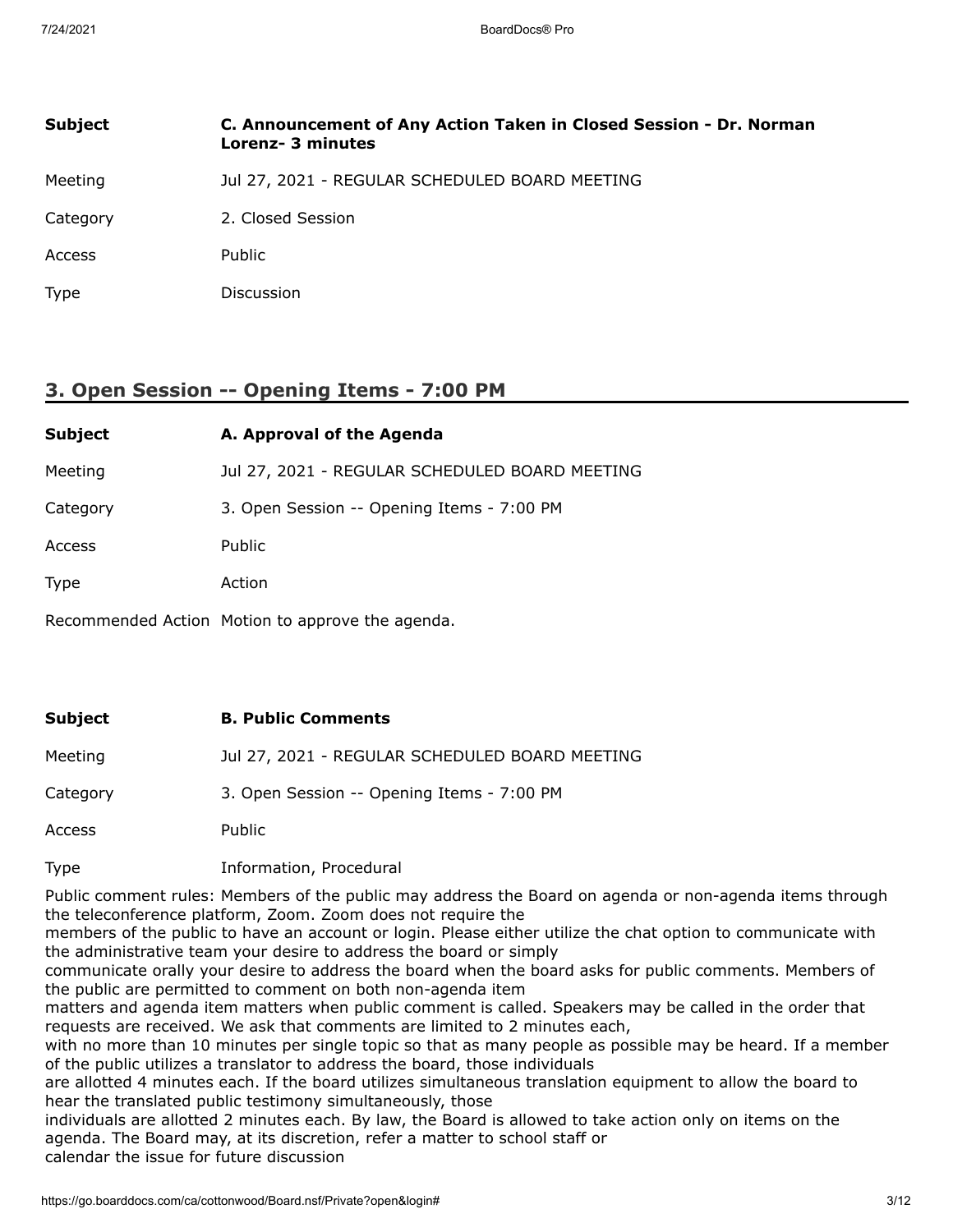| <b>Subject</b> | C. Announcement of Any Action Taken in Closed Session - Dr. Norman<br>Lorenz- 3 minutes |
|----------------|-----------------------------------------------------------------------------------------|
| Meeting        | Jul 27, 2021 - REGULAR SCHEDULED BOARD MEETING                                          |
| Category       | 2. Closed Session                                                                       |
| Access         | Public                                                                                  |
| <b>Type</b>    | <b>Discussion</b>                                                                       |

# **3. Open Session -- Opening Items - 7:00 PM**

| <b>Subject</b> | A. Approval of the Agenda                      |
|----------------|------------------------------------------------|
| Meeting        | Jul 27, 2021 - REGULAR SCHEDULED BOARD MEETING |
| Category       | 3. Open Session -- Opening Items - 7:00 PM     |
| Access         | Public                                         |
| <b>Type</b>    | Action                                         |
|                |                                                |

Recommended Action Motion to approve the agenda.

# **Subject B. Public Comments** Meeting Jul 27, 2021 - REGULAR SCHEDULED BOARD MEETING Category 3. Open Session -- Opening Items - 7:00 PM Access Public

Type Information, Procedural

Public comment rules: Members of the public may address the Board on agenda or non-agenda items through the teleconference platform, Zoom. Zoom does not require the

members of the public to have an account or login. Please either utilize the chat option to communicate with the administrative team your desire to address the board or simply

communicate orally your desire to address the board when the board asks for public comments. Members of the public are permitted to comment on both non-agenda item

matters and agenda item matters when public comment is called. Speakers may be called in the order that requests are received. We ask that comments are limited to 2 minutes each,

with no more than 10 minutes per single topic so that as many people as possible may be heard. If a member of the public utilizes a translator to address the board, those individuals

are allotted 4 minutes each. If the board utilizes simultaneous translation equipment to allow the board to hear the translated public testimony simultaneously, those

individuals are allotted 2 minutes each. By law, the Board is allowed to take action only on items on the agenda. The Board may, at its discretion, refer a matter to school staff or calendar the issue for future discussion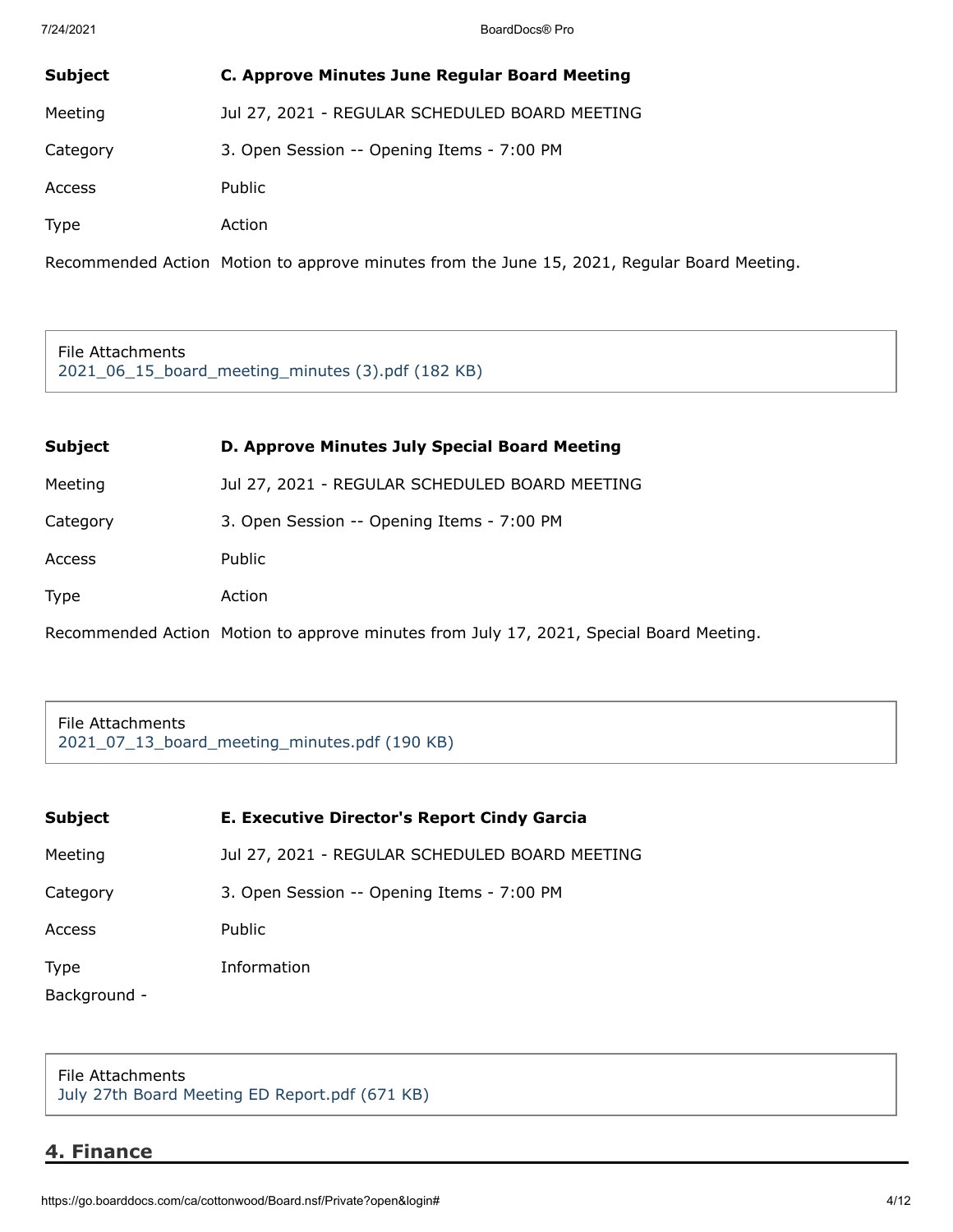| <b>Subject</b> | C. Approve Minutes June Regular Board Meeting  |
|----------------|------------------------------------------------|
| Meeting        | Jul 27, 2021 - REGULAR SCHEDULED BOARD MEETING |
| Category       | 3. Open Session -- Opening Items - 7:00 PM     |
| Access         | Public                                         |
| <b>Type</b>    | Action                                         |

Recommended Action Motion to approve minutes from the June 15, 2021, Regular Board Meeting.

File Attachments [2021\\_06\\_15\\_board\\_meeting\\_minutes \(3\).pdf \(182 KB\)](https://go.boarddocs.com/ca/cottonwood/Board.nsf/files/C4XVL880E694/$file/2021_06_15_board_meeting_minutes%20(3).pdf)

| <b>Subject</b> | D. Approve Minutes July Special Board Meeting  |
|----------------|------------------------------------------------|
| Meeting        | Jul 27, 2021 - REGULAR SCHEDULED BOARD MEETING |
| Category       | 3. Open Session -- Opening Items - 7:00 PM     |
| Access         | <b>Public</b>                                  |
| <b>Type</b>    | Action                                         |

Recommended Action Motion to approve minutes from July 17, 2021, Special Board Meeting.

File Attachments [2021\\_07\\_13\\_board\\_meeting\\_minutes.pdf \(190 KB\)](https://go.boarddocs.com/ca/cottonwood/Board.nsf/files/C4XVLN8106A3/$file/2021_07_13_board_meeting_minutes.pdf)

| <b>Subject</b> | E. Executive Director's Report Cindy Garcia    |
|----------------|------------------------------------------------|
| Meeting        | Jul 27, 2021 - REGULAR SCHEDULED BOARD MEETING |
| Category       | 3. Open Session -- Opening Items - 7:00 PM     |
| Access         | Public                                         |
| Type           | Information                                    |
| Background -   |                                                |

File Attachments [July 27th Board Meeting ED Report.pdf \(671 KB\)](https://go.boarddocs.com/ca/cottonwood/Board.nsf/files/C57VYP830D25/$file/July%2027th%20Board%20Meeting%20ED%20Report.pdf)

# **4. Finance**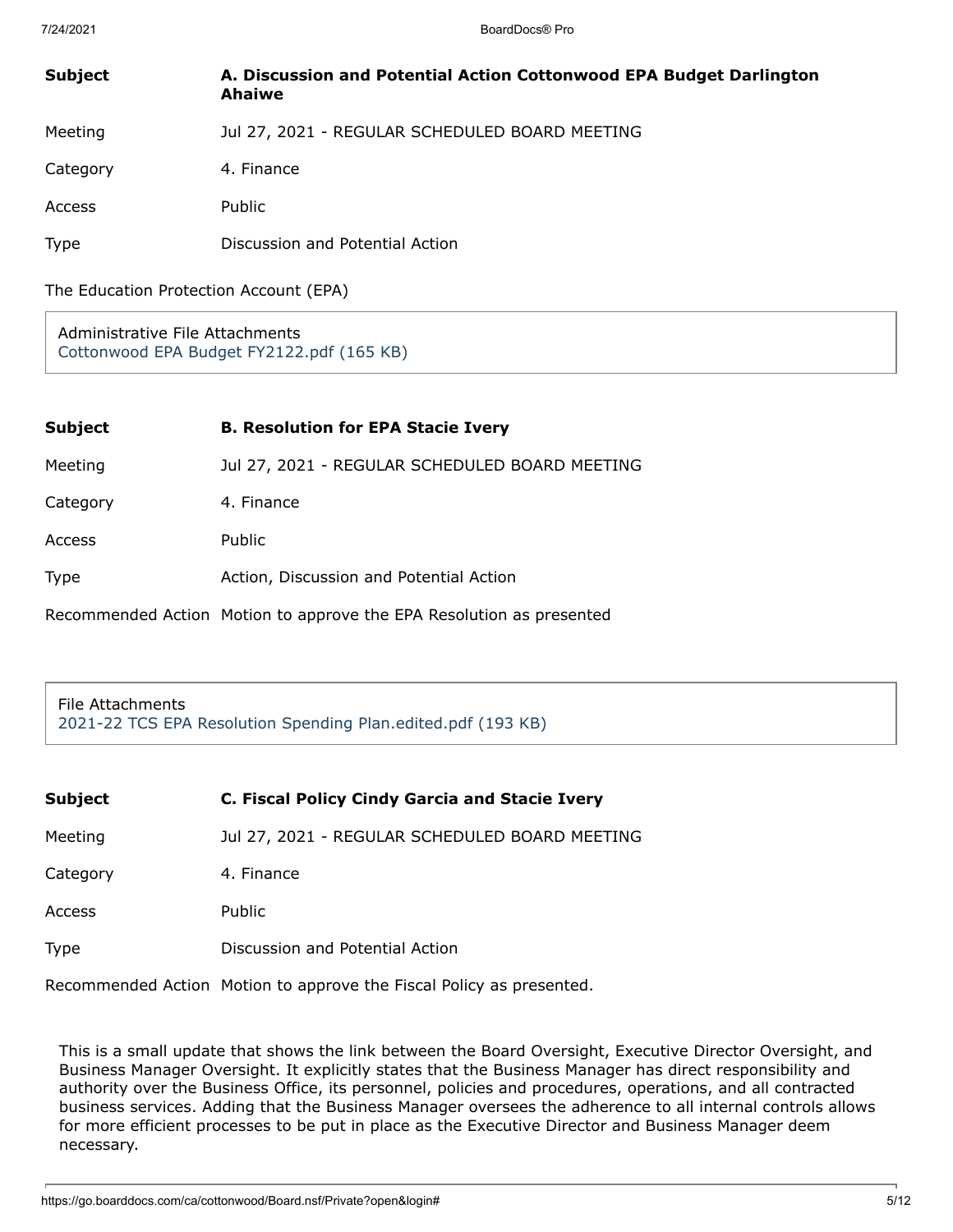| <b>Subject</b> | A. Discussion and Potential Action Cottonwood EPA Budget Darlington<br>Ahaiwe |
|----------------|-------------------------------------------------------------------------------|
| Meeting        | Jul 27, 2021 - REGULAR SCHEDULED BOARD MEETING                                |
| Category       | 4. Finance                                                                    |
| Access         | <b>Public</b>                                                                 |
| <b>Type</b>    | Discussion and Potential Action                                               |

The Education Protection Account (EPA)

Administrative File Attachments [Cottonwood EPA Budget FY2122.pdf \(165 KB\)](https://go.boarddocs.com/ca/cottonwood/Board.nsf/files/C58N3F5DF411/$file/Cottonwood%20EPA%20Budget%20FY2122.pdf)

| <b>Subject</b> | <b>B. Resolution for EPA Stacie Ivery</b>                            |
|----------------|----------------------------------------------------------------------|
| Meeting        | Jul 27, 2021 - REGULAR SCHEDULED BOARD MEETING                       |
| Category       | 4. Finance                                                           |
| Access         | <b>Public</b>                                                        |
| <b>Type</b>    | Action, Discussion and Potential Action                              |
|                | Recommended Action Motion to approve the EPA Resolution as presented |

File Attachments [2021-22 TCS EPA Resolution Spending Plan.edited.pdf \(193 KB\)](https://go.boarddocs.com/ca/cottonwood/Board.nsf/files/C57SFJ7279EE/$file/2021-22%20TCS%20EPA%20Resolution%20%20Spending%20Plan.edited.pdf)

| <b>Subject</b> | C. Fiscal Policy Cindy Garcia and Stacie Ivery |
|----------------|------------------------------------------------|
| Meeting        | Jul 27, 2021 - REGULAR SCHEDULED BOARD MEETING |
| Category       | 4. Finance                                     |
| <b>Access</b>  | Public                                         |
| Type           | Discussion and Potential Action                |
|                |                                                |

Recommended Action Motion to approve the Fiscal Policy as presented.

This is a small update that shows the link between the Board Oversight, Executive Director Oversight, and Business Manager Oversight. It explicitly states that the Business Manager has direct responsibility and authority over the Business Office, its personnel, policies and procedures, operations, and all contracted business services. Adding that the Business Manager oversees the adherence to all internal controls allows for more efficient processes to be put in place as the Executive Director and Business Manager deem necessary.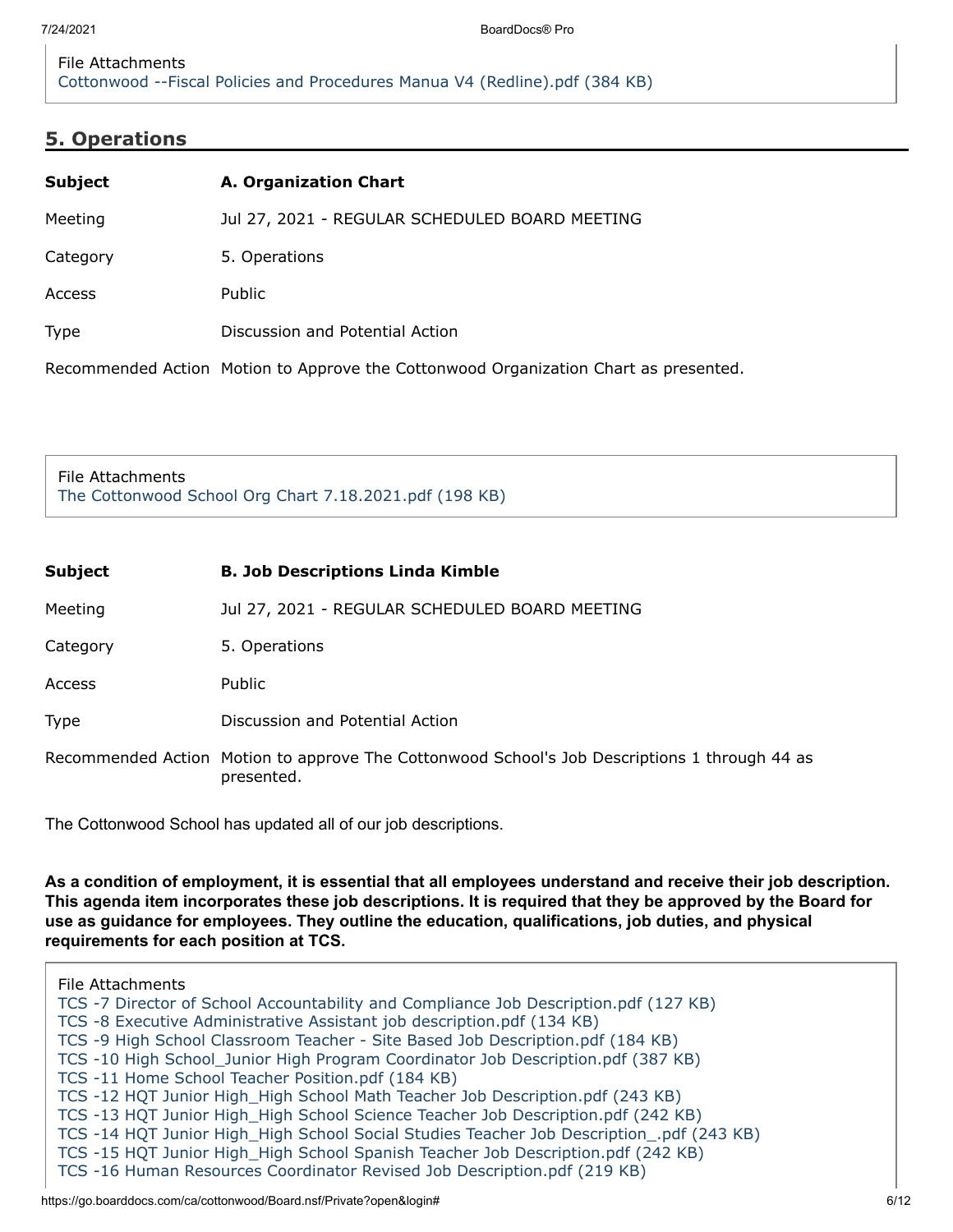# **5. Operations**

| <b>Subject</b> | A. Organization Chart                                                                |
|----------------|--------------------------------------------------------------------------------------|
| Meeting        | Jul 27, 2021 - REGULAR SCHEDULED BOARD MEETING                                       |
| Category       | 5. Operations                                                                        |
| Access         | Public                                                                               |
| <b>Type</b>    | Discussion and Potential Action                                                      |
|                | Recommended Action Motion to Approve the Cottonwood Organization Chart as presented. |

File Attachments [The Cottonwood School Org Chart 7.18.2021.pdf \(198 KB\)](https://go.boarddocs.com/ca/cottonwood/Board.nsf/files/C53HZT4983FA/$file/The%20Cottonwood%20School%20Org%20Chart%207.18.2021.pdf)

| <b>Subject</b> | <b>B. Job Descriptions Linda Kimble</b>                                                                     |
|----------------|-------------------------------------------------------------------------------------------------------------|
| Meeting        | Jul 27, 2021 - REGULAR SCHEDULED BOARD MEETING                                                              |
| Category       | 5. Operations                                                                                               |
| Access         | Public                                                                                                      |
| Type           | Discussion and Potential Action                                                                             |
|                | Recommended Action Motion to approve The Cottonwood School's Job Descriptions 1 through 44 as<br>presented. |

The Cottonwood School has updated all of our job descriptions.

**As a condition of employment, it is essential that all employees understand and receive their job description. This agenda item incorporates these job descriptions. It is required that they be approved by the Board for use as guidance for employees. They outline the education, qualifications, job duties, and physical requirements for each position at TCS.**

File Attachments [TCS -7 Director of School Accountability and Compliance Job Description.pdf \(127 KB\)](https://go.boarddocs.com/ca/cottonwood/Board.nsf/files/C57TEJ77031C/$file/TCS%20-7%20Director%20of%20School%20Accountability%20and%20Compliance%20Job%20Description.pdf) [TCS -8 Executive Administrative Assistant job description.pdf \(134 KB\)](https://go.boarddocs.com/ca/cottonwood/Board.nsf/files/C57TEL770335/$file/TCS%20-8%20Executive%20Administrative%20Assistant%20job%20description.pdf) [TCS -9 High School Classroom Teacher - Site Based Job Description.pdf \(184 KB\)](https://go.boarddocs.com/ca/cottonwood/Board.nsf/files/C57TEN770351/$file/TCS%20-9%20High%20School%20Classroom%20Teacher%20-%20Site%20Based%20Job%20Description.pdf) [TCS -10 High School\\_Junior High Program Coordinator Job Description.pdf \(387 KB\)](https://go.boarddocs.com/ca/cottonwood/Board.nsf/files/C57TEQ77038A/$file/TCS%20-10%20High%20School_Junior%20High%20Program%20Coordinator%20Job%20Description.pdf) [TCS -11 Home School Teacher Position.pdf \(184 KB\)](https://go.boarddocs.com/ca/cottonwood/Board.nsf/files/C57TES7703B0/$file/TCS%20-11%20Home%20School%20Teacher%20Position.pdf) [TCS -12 HQT Junior High\\_High School Math Teacher Job Description.pdf \(243 KB\)](https://go.boarddocs.com/ca/cottonwood/Board.nsf/files/C57TEU7703D3/$file/TCS%20-12%20HQT%20Junior%20High_High%20School%20Math%20Teacher%20Job%20Description.pdf) [TCS -13 HQT Junior High\\_High School Science Teacher Job Description.pdf \(242 KB\)](https://go.boarddocs.com/ca/cottonwood/Board.nsf/files/C57TEW7703F7/$file/TCS%20-13%20HQT%20Junior%20High_High%20School%20Science%20Teacher%20Job%20Description.pdf) [TCS -14 HQT Junior High\\_High School Social Studies Teacher Job Description\\_.pdf \(243 KB\)](https://go.boarddocs.com/ca/cottonwood/Board.nsf/files/C57TEY77041C/$file/TCS%20-14%20HQT%20Junior%20High_High%20School%20Social%20Studies%20Teacher%20Job%20Description_.pdf) [TCS -15 HQT Junior High\\_High School Spanish Teacher Job Description.pdf \(242 KB\)](https://go.boarddocs.com/ca/cottonwood/Board.nsf/files/C57TF2770440/$file/TCS%20-15%20HQT%20Junior%20High_High%20School%20Spanish%20Teacher%20Job%20Description.pdf) [TCS -16 Human Resources Coordinator Revised Job Description.pdf \(219 KB\)](https://go.boarddocs.com/ca/cottonwood/Board.nsf/files/C57TF4770462/$file/TCS%20-16%20Human%20Resources%20Coordinator%20Revised%20Job%20Description.pdf)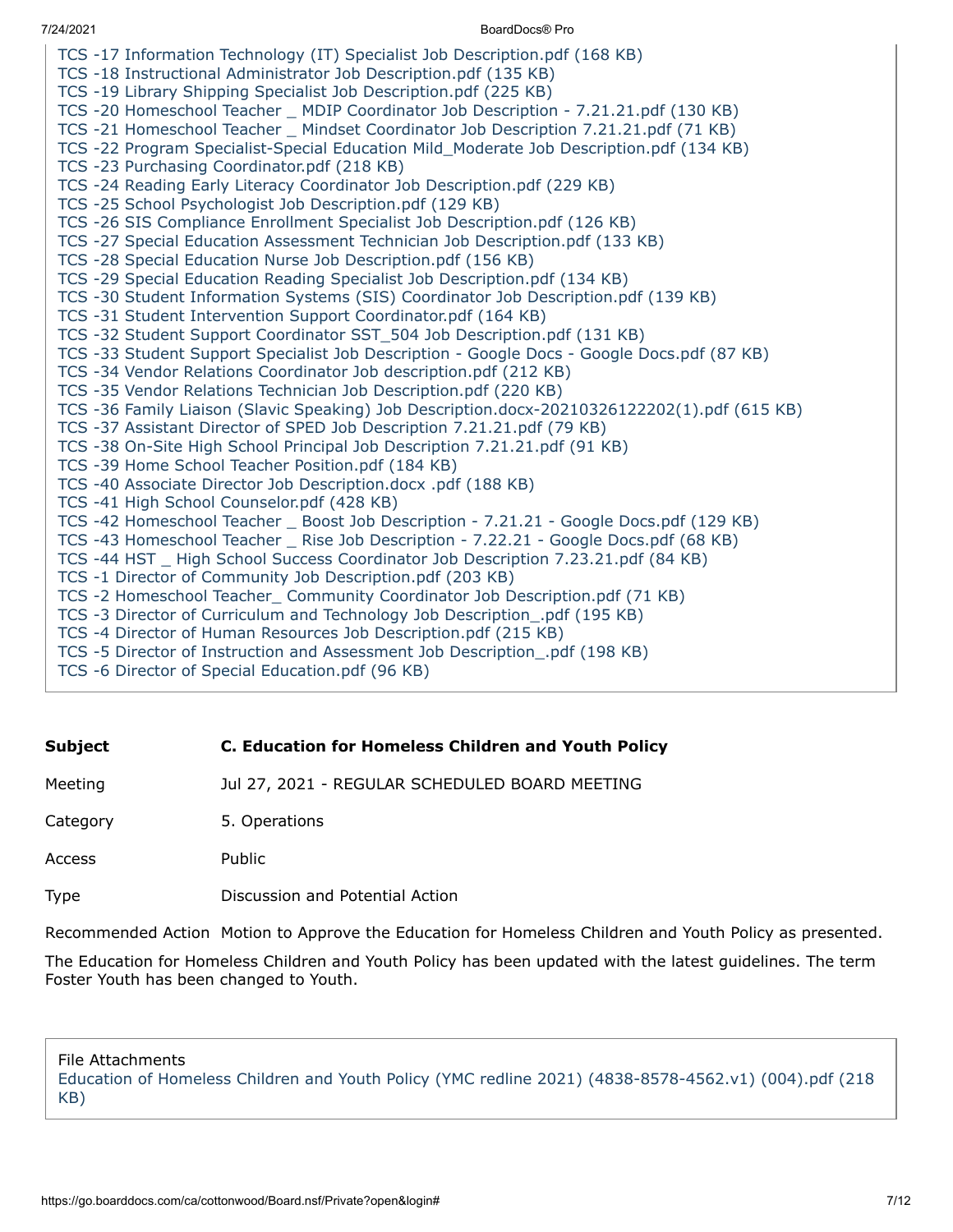- [TCS -17 Information Technology \(IT\) Specialist Job Description.pdf \(168 KB\)](https://go.boarddocs.com/ca/cottonwood/Board.nsf/files/C57TF677047F/$file/TCS%20-17%20%20Information%20Technology%20(IT)%20Specialist%20Job%20Description.pdf)
- [TCS -18 Instructional Administrator Job Description.pdf \(135 KB\)](https://go.boarddocs.com/ca/cottonwood/Board.nsf/files/C57TF877049A/$file/TCS%20-18%20Instructional%20Administrator%20Job%20Description.pdf)
- [TCS -19 Library Shipping Specialist Job Description.pdf \(225 KB\)](https://go.boarddocs.com/ca/cottonwood/Board.nsf/files/C57TFA7704BE/$file/TCS%20-19%20Library%20Shipping%20Specialist%20Job%20Description.pdf)
- [TCS -20 Homeschool Teacher \\_ MDIP Coordinator Job Description 7.21.21.pdf \(130 KB\)](https://go.boarddocs.com/ca/cottonwood/Board.nsf/files/C57TFC7704D7/$file/TCS%20-20%20Homeschool%20Teacher%20_%20MDIP%20Coordinator%20Job%20Description%20-%207.21.21.pdf)
- [TCS -21 Homeschool Teacher \\_ Mindset Coordinator Job Description 7.21.21.pdf \(71 KB\)](https://go.boarddocs.com/ca/cottonwood/Board.nsf/files/C57TFE7704E8/$file/TCS%20-21%20Homeschool%20Teacher%20_%20Mindset%20Coordinator%20Job%20Description%207.21.21.pdf)
- [TCS -22 Program Specialist-Special Education Mild\\_Moderate Job Description.pdf \(134 KB\)](https://go.boarddocs.com/ca/cottonwood/Board.nsf/files/C57TFG770502/$file/TCS%20-22%20Program%20Specialist-Special%20Education%20Mild_Moderate%20Job%20Description.pdf)
- [TCS -23 Purchasing Coordinator.pdf \(218 KB\)](https://go.boarddocs.com/ca/cottonwood/Board.nsf/files/C57TFJ770526/$file/TCS%20-23%20Purchasing%20Coordinator.pdf)
- [TCS -24 Reading Early Literacy Coordinator Job Description.pdf \(229 KB\)](https://go.boarddocs.com/ca/cottonwood/Board.nsf/files/C57TFL77054A/$file/TCS%20-24%20Reading%20Early%20Literacy%20Coordinator%20Job%20Description.pdf)
- [TCS -25 School Psychologist Job Description.pdf \(129 KB\)](https://go.boarddocs.com/ca/cottonwood/Board.nsf/files/C57TFN770564/$file/TCS%20-25%20School%20Psychologist%20Job%20Description.pdf)
- [TCS -26 SIS Compliance Enrollment Specialist Job Description.pdf \(126 KB\)](https://go.boarddocs.com/ca/cottonwood/Board.nsf/files/C57TFQ770579/$file/TCS%20-26%20SIS%20Compliance%20Enrollment%20Specialist%20Job%20Description.pdf)
- [TCS -27 Special Education Assessment Technician Job Description.pdf \(133 KB\)](https://go.boarddocs.com/ca/cottonwood/Board.nsf/files/C57TFS770593/$file/TCS%20-27%20Special%20Education%20Assessment%20Technician%20Job%20Description.pdf)
- [TCS -28 Special Education Nurse Job Description.pdf \(156 KB\)](https://go.boarddocs.com/ca/cottonwood/Board.nsf/files/C57TFU7705AE/$file/TCS%20-28%20Special%20Education%20Nurse%20Job%20Description.pdf)
- [TCS -29 Special Education Reading Specialist Job Description.pdf \(134 KB\)](https://go.boarddocs.com/ca/cottonwood/Board.nsf/files/C57TFW7705C8/$file/TCS%20-29%20Special%20Education%20Reading%20Specialist%20Job%20Description.pdf)
- [TCS -30 Student Information Systems \(SIS\) Coordinator Job Description.pdf \(139 KB\)](https://go.boarddocs.com/ca/cottonwood/Board.nsf/files/C57TFY7705E2/$file/TCS%20-30%20Student%20Information%20Systems%20(SIS)%20Coordinator%20Job%20Description.pdf)
- [TCS -31 Student Intervention Support Coordinator.pdf \(164 KB\)](https://go.boarddocs.com/ca/cottonwood/Board.nsf/files/C57TG27705FD/$file/TCS%20-31%20Student%20Intervention%20Support%20Coordinator.pdf)
- [TCS -32 Student Support Coordinator SST\\_504 Job Description.pdf \(131 KB\)](https://go.boarddocs.com/ca/cottonwood/Board.nsf/files/C57TG4770617/$file/TCS%20-32%20Student%20Support%20Coordinator%20SST_504%20Job%20Description.pdf)
- [TCS -33 Student Support Specialist Job Description Google Docs Google Docs.pdf \(87 KB\)](https://go.boarddocs.com/ca/cottonwood/Board.nsf/files/C57TG6770629/$file/TCS%20-33%20Student%20Support%20Specialist%20Job%20Description%20-%20Google%20Docs%20-%20Google%20Docs.pdf)
- [TCS -34 Vendor Relations Coordinator Job description.pdf \(212 KB\)](https://go.boarddocs.com/ca/cottonwood/Board.nsf/files/C57TG877064C/$file/TCS%20-34%20Vendor%20Relations%20Coordinator%20Job%20description.pdf)
- [TCS -35 Vendor Relations Technician Job Description.pdf \(220 KB\)](https://go.boarddocs.com/ca/cottonwood/Board.nsf/files/C57TGA77066F/$file/TCS%20-35%20Vendor%20Relations%20Technician%20Job%20Description.pdf)
- [TCS -36 Family Liaison \(Slavic Speaking\) Job Description.docx-20210326122202\(1\).pdf \(615 KB\)](https://go.boarddocs.com/ca/cottonwood/Board.nsf/files/C57TGC7706C4/$file/TCS%20-36%20Family%20Liaison%20(Slavic%20Speaking)%20Job%20Description.docx-20210326122202(1).pdf)
- [TCS -37 Assistant Director of SPED Job Description 7.21.21.pdf \(79 KB\)](https://go.boarddocs.com/ca/cottonwood/Board.nsf/files/C57TGE7706D8/$file/TCS%20-37%20Assistant%20Director%20of%20SPED%20Job%20Description%207.21.21.pdf)
- [TCS -38 On-Site High School Principal Job Description 7.21.21.pdf \(91 KB\)](https://go.boarddocs.com/ca/cottonwood/Board.nsf/files/C57TGG7706EB/$file/TCS%20-38%20On-Site%20High%20School%20Principal%20Job%20Description%207.21.21.pdf)
- [TCS -39 Home School Teacher Position.pdf \(184 KB\)](https://go.boarddocs.com/ca/cottonwood/Board.nsf/files/C57TGJ77070A/$file/TCS%20-39%20Home%20School%20Teacher%20Position.pdf)
- [TCS -40 Associate Director Job Description.docx .pdf \(188 KB\)](https://go.boarddocs.com/ca/cottonwood/Board.nsf/files/C57TGL770727/$file/TCS%20-40%20Associate%20Director%20Job%20Description.docx%20.pdf)
- [TCS -41 High School Counselor.pdf \(428 KB\)](https://go.boarddocs.com/ca/cottonwood/Board.nsf/files/C57TGN770766/$file/TCS%20-41%20High%20School%20Counselor.pdf)
- [TCS -42 Homeschool Teacher \\_ Boost Job Description 7.21.21 Google Docs.pdf \(129 KB\)](https://go.boarddocs.com/ca/cottonwood/Board.nsf/files/C57TGQ770780/$file/TCS%20-42%20Homeschool%20Teacher%20_%20Boost%20Job%20Description%20-%207.21.21%20-%20Google%20Docs.pdf)
- [TCS -43 Homeschool Teacher \\_ Rise Job Description 7.22.21 Google Docs.pdf \(68 KB\)](https://go.boarddocs.com/ca/cottonwood/Board.nsf/files/C57TGS770792/$file/TCS%20-43%20Homeschool%20Teacher%20_%20Rise%20Job%20Description%20-%207.22.21%20-%20Google%20Docs.pdf)
- [TCS -44 HST \\_ High School Success Coordinator Job Description 7.23.21.pdf \(84 KB\)](https://go.boarddocs.com/ca/cottonwood/Board.nsf/files/C57TGU7707A4/$file/TCS%20-44%20HST%20_%20High%20School%20Success%20Coordinator%20Job%20Description%207.23.21.pdf)
- [TCS -1 Director of Community Job Description.pdf \(203 KB\)](https://go.boarddocs.com/ca/cottonwood/Board.nsf/files/C57TGW7707C7/$file/TCS%20-1%20%20Director%20of%20Community%20Job%20Description.pdf)
- [TCS -2 Homeschool Teacher\\_ Community Coordinator Job Description.pdf \(71 KB\)](https://go.boarddocs.com/ca/cottonwood/Board.nsf/files/C57TGY7707D9/$file/TCS%20-2%20%20Homeschool%20Teacher_%20Community%20Coordinator%20Job%20Description.pdf)
- [TCS -3 Director of Curriculum and Technology Job Description\\_.pdf \(195 KB\)](https://go.boarddocs.com/ca/cottonwood/Board.nsf/files/C57TH27707FB/$file/TCS%20-3%20Director%20of%20Curriculum%20and%20Technology%20Job%20Description_.pdf)
- [TCS -4 Director of Human Resources Job Description.pdf \(215 KB\)](https://go.boarddocs.com/ca/cottonwood/Board.nsf/files/C57TH477081E/$file/TCS%20-4%20Director%20of%20Human%20Resources%20Job%20Description.pdf)
- [TCS -5 Director of Instruction and Assessment Job Description\\_.pdf \(198 KB\)](https://go.boarddocs.com/ca/cottonwood/Board.nsf/files/C57TH6770840/$file/TCS%20-5%20Director%20of%20Instruction%20and%20Assessment%20Job%20Description_.pdf)
- [TCS -6 Director of Special Education.pdf \(96 KB\)](https://go.boarddocs.com/ca/cottonwood/Board.nsf/files/C57TH8770853/$file/TCS%20-6%20Director%20of%20Special%20Education.pdf)

#### **Subject C. Education for Homeless Children and Youth Policy**

Meeting Jul 27, 2021 - REGULAR SCHEDULED BOARD MEETING

Category 5. Operations

Access Public

Type Discussion and Potential Action

Recommended Action Motion to Approve the Education for Homeless Children and Youth Policy as presented.

The Education for Homeless Children and Youth Policy has been updated with the latest guidelines. The term Foster Youth has been changed to Youth.

File Attachments

[Education of Homeless Children and Youth Policy \(YMC redline 2021\) \(4838-8578-4562.v1\) \(004\).pdf \(218](https://go.boarddocs.com/ca/cottonwood/Board.nsf/files/C4YS2E708DCD/$file/Education%20of%20Homeless%20Children%20and%20Youth%20Policy%20(YMC%20redline%202021)%20(4838-8578-4562.v1)%20(004).pdf) KB)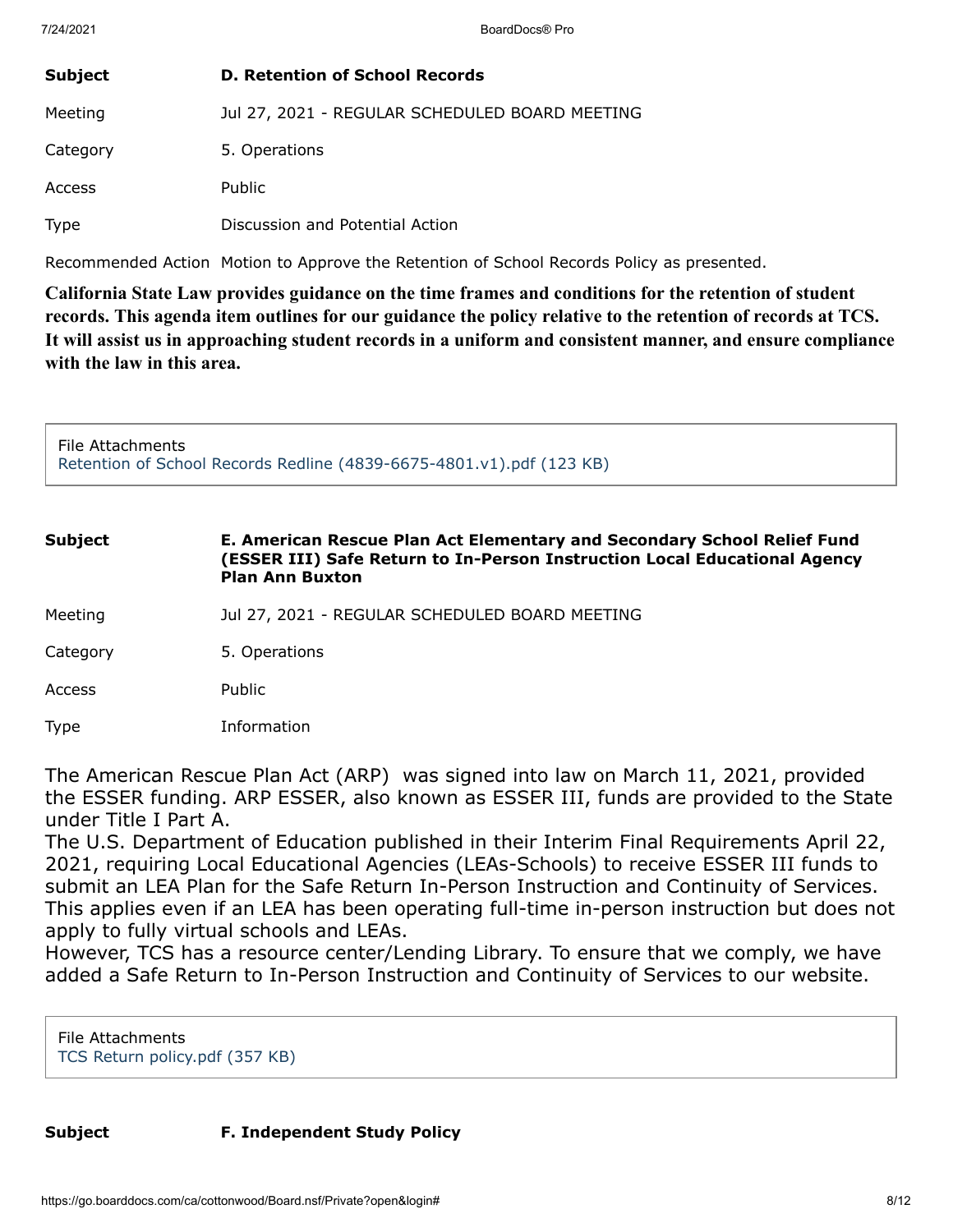| <b>Subject</b> | <b>D. Retention of School Records</b>          |
|----------------|------------------------------------------------|
| Meeting        | Jul 27, 2021 - REGULAR SCHEDULED BOARD MEETING |
| Category       | 5. Operations                                  |
| Access         | <b>Public</b>                                  |
| <b>Type</b>    | Discussion and Potential Action                |

Recommended Action Motion to Approve the Retention of School Records Policy as presented.

**California State Law provides guidance on the time frames and conditions for the retention of student records. This agenda item outlines for our guidance the policy relative to the retention of records at TCS. It will assist us in approaching student records in a uniform and consistent manner, and ensure compliance with the law in this area.**

File Attachments [Retention of School Records Redline \(4839-6675-4801.v1\).pdf \(123 KB\)](https://go.boarddocs.com/ca/cottonwood/Board.nsf/files/C57UYD7E50C4/$file/Retention%20of%20School%20Records%20Redline%20(4839-6675-4801.v1).pdf)

# **Subject E. American Rescue Plan Act Elementary and Secondary School Relief Fund (ESSER III) Safe Return to In-Person Instruction Local Educational Agency Plan Ann Buxton** Meeting Jul 27, 2021 - REGULAR SCHEDULED BOARD MEETING Category 5. Operations

Access Public

Type Information

The American Rescue Plan Act (ARP) was signed into law on March 11, 2021, provided the ESSER funding. ARP ESSER, also known as ESSER III, funds are provided to the State under Title I Part A.

The U.S. Department of Education published in their Interim Final Requirements April 22, 2021, requiring Local Educational Agencies (LEAs-Schools) to receive ESSER III funds to submit an LEA Plan for the Safe Return In-Person Instruction and Continuity of Services. This applies even if an LEA has been operating full-time in-person instruction but does not apply to fully virtual schools and LEAs.

However, TCS has a resource center/Lending Library. To ensure that we comply, we have added a Safe Return to In-Person Instruction and Continuity of Services to our website.

File Attachments [TCS Return policy.pdf \(357 KB\)](https://go.boarddocs.com/ca/cottonwood/Board.nsf/files/C56T8B6BE9A0/$file/TCS%20Return%20policy.pdf)

**Subject F. Independent Study Policy**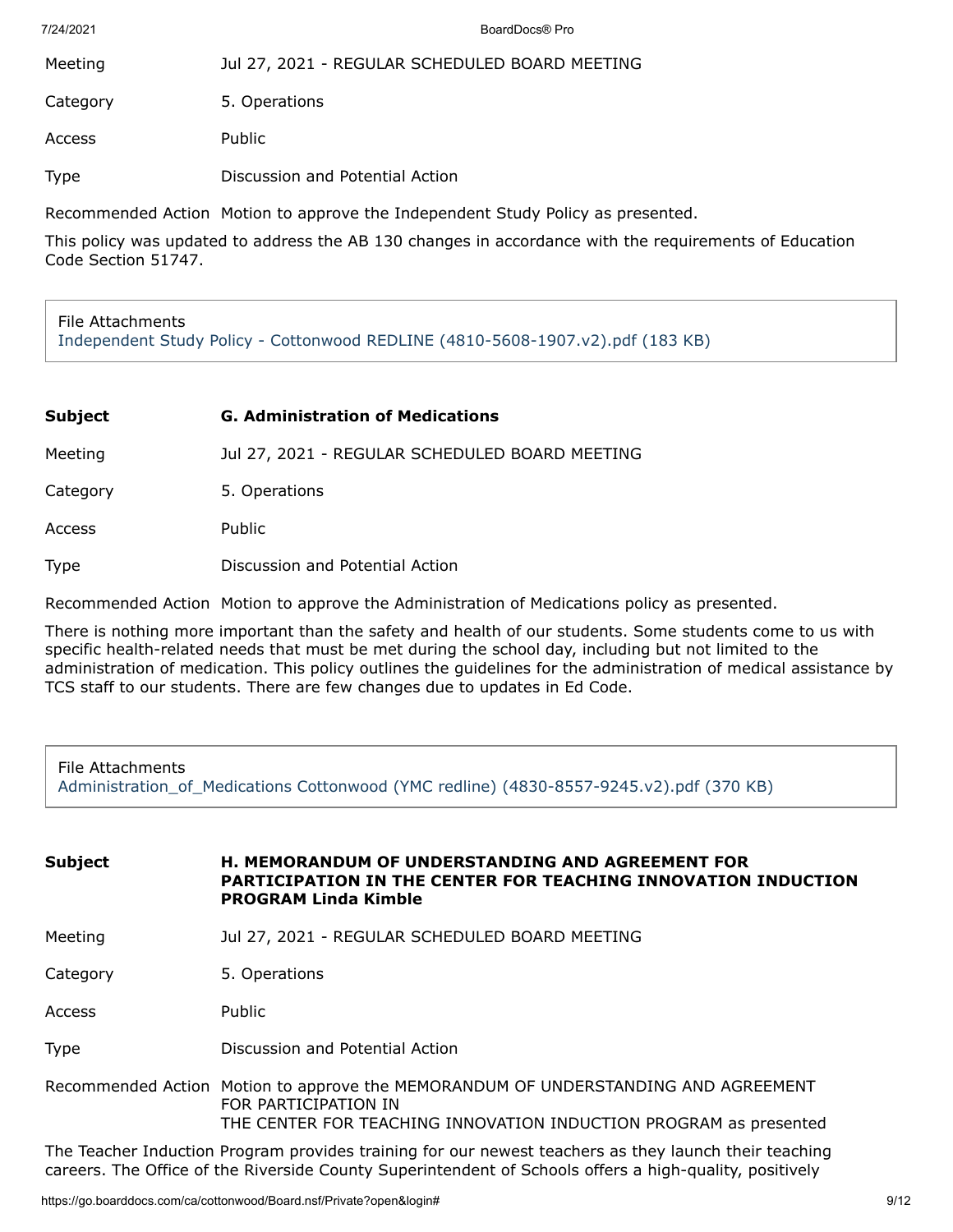| Meeting  | Jul 27, 2021 - REGULAR SCHEDULED BOARD MEETING |
|----------|------------------------------------------------|
| Category | 5. Operations                                  |
| Access   | Public                                         |

Type Discussion and Potential Action

Recommended Action Motion to approve the Independent Study Policy as presented.

This policy was updated to address the AB 130 changes in accordance with the requirements of Education Code Section 51747.

#### File Attachments [Independent Study Policy - Cottonwood REDLINE \(4810-5608-1907.v2\).pdf \(183 KB\)](https://go.boarddocs.com/ca/cottonwood/Board.nsf/files/C57UDH7B8CFA/$file/Independent%20Study%20Policy%20-%20Cottonwood%20REDLINE%20(4810-5608-1907.v2).pdf)

| Subject  | <b>G. Administration of Medications</b>        |
|----------|------------------------------------------------|
| Meeting  | Jul 27, 2021 - REGULAR SCHEDULED BOARD MEETING |
| Category | 5. Operations                                  |

Access Public

Type Discussion and Potential Action

Recommended Action Motion to approve the Administration of Medications policy as presented.

There is nothing more important than the safety and health of our students. Some students come to us with specific health-related needs that must be met during the school day, including but not limited to the administration of medication. This policy outlines the guidelines for the administration of medical assistance by TCS staff to our students. There are few changes due to updates in Ed Code.

### File Attachments [Administration\\_of\\_Medications Cottonwood \(YMC redline\) \(4830-8557-9245.v2\).pdf \(370 KB\)](https://go.boarddocs.com/ca/cottonwood/Board.nsf/files/C58H5W46E03E/$file/Administration_of_Medications%20Cottonwood%20(YMC%20redline)%20(4830-8557-9245.v2).pdf)

| <b>Subject</b> | <b>H. MEMORANDUM OF UNDERSTANDING AND AGREEMENT FOR</b><br>PARTICIPATION IN THE CENTER FOR TEACHING INNOVATION INDUCTION<br><b>PROGRAM Linda Kimble</b>                         |
|----------------|---------------------------------------------------------------------------------------------------------------------------------------------------------------------------------|
| Meeting        | Jul 27, 2021 - REGULAR SCHEDULED BOARD MEETING                                                                                                                                  |
| Category       | 5. Operations                                                                                                                                                                   |
| Access         | <b>Public</b>                                                                                                                                                                   |
| <b>Type</b>    | Discussion and Potential Action                                                                                                                                                 |
|                | Recommended Action Motion to approve the MEMORANDUM OF UNDERSTANDING AND AGREEMENT<br>FOR PARTICIPATION IN<br>THE CENTER FOR TEACHING INNOVATION INDUCTION PROGRAM as presented |

The Teacher Induction Program provides training for our newest teachers as they launch their teaching careers. The Office of the Riverside County Superintendent of Schools offers a high-quality, positively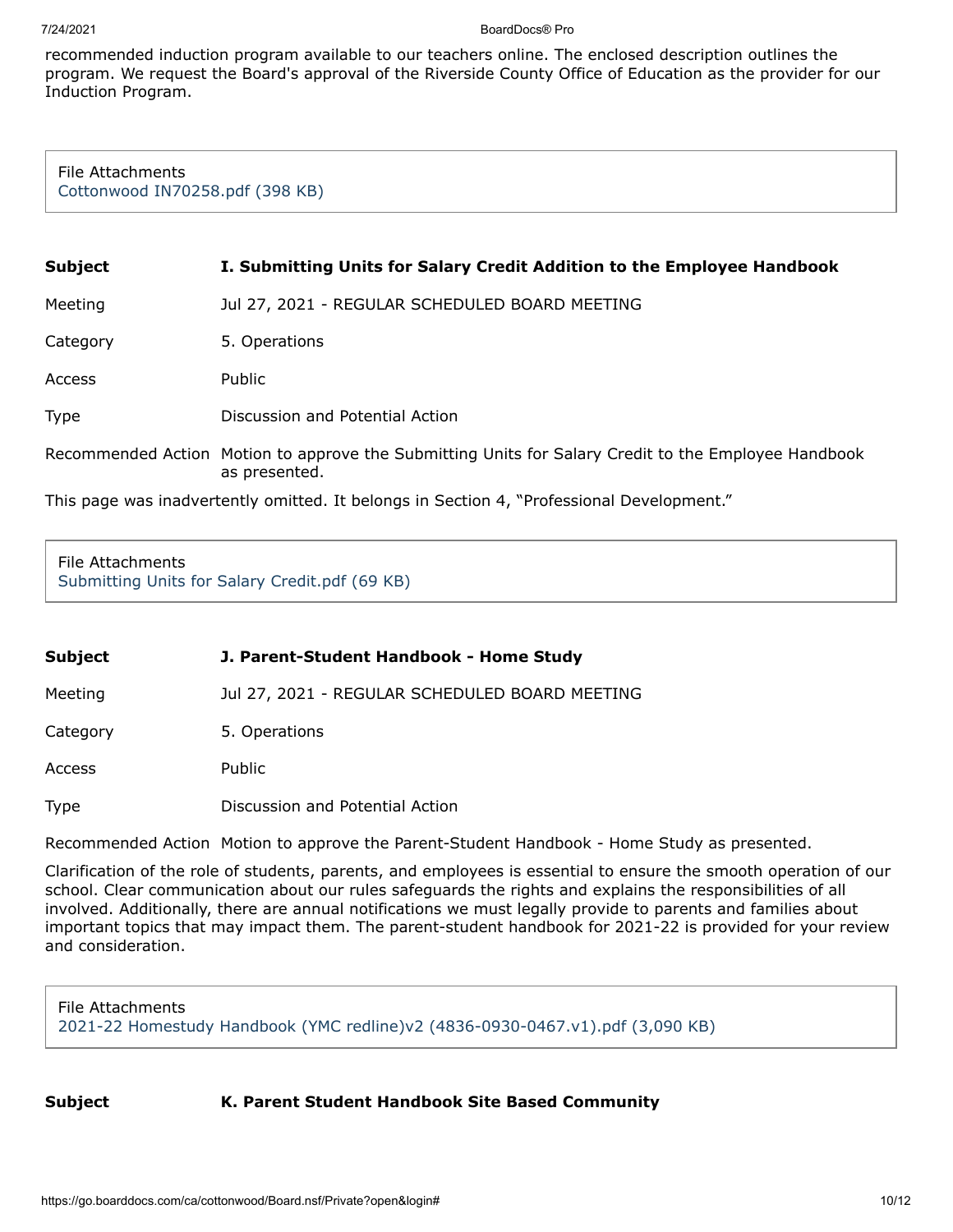recommended induction program available to our teachers online. The enclosed description outlines the program. We request the Board's approval of the Riverside County Office of Education as the provider for our Induction Program.

File Attachments [Cottonwood IN70258.pdf \(398 KB\)](https://go.boarddocs.com/ca/cottonwood/Board.nsf/files/C57T4P759386/$file/Cottonwood%20IN70258.pdf)

| <b>Subject</b>                                                                            | I. Submitting Units for Salary Credit Addition to the Employee Handbook                                               |
|-------------------------------------------------------------------------------------------|-----------------------------------------------------------------------------------------------------------------------|
| Meeting                                                                                   | Jul 27, 2021 - REGULAR SCHEDULED BOARD MEETING                                                                        |
| Category                                                                                  | 5. Operations                                                                                                         |
| Access                                                                                    | Public                                                                                                                |
| <b>Type</b>                                                                               | Discussion and Potential Action                                                                                       |
|                                                                                           | Recommended Action Motion to approve the Submitting Units for Salary Credit to the Employee Handbook<br>as presented. |
| This page was inadvertently omitted. It belongs in Section 4, "Professional Development." |                                                                                                                       |

File Attachments [Submitting Units for Salary Credit.pdf \(69 KB\)](https://go.boarddocs.com/ca/cottonwood/Board.nsf/files/C57VAN7FD264/$file/Submitting%20Units%20for%20Salary%20Credit.pdf)

| <b>Subject</b> | J. Parent-Student Handbook - Home Study        |  |
|----------------|------------------------------------------------|--|
| Meeting        | Jul 27, 2021 - REGULAR SCHEDULED BOARD MEETING |  |
| Category       | 5. Operations                                  |  |
| Access         | Public                                         |  |
| Type           | Discussion and Potential Action                |  |

Recommended Action Motion to approve the Parent-Student Handbook - Home Study as presented.

Clarification of the role of students, parents, and employees is essential to ensure the smooth operation of our school. Clear communication about our rules safeguards the rights and explains the responsibilities of all involved. Additionally, there are annual notifications we must legally provide to parents and families about important topics that may impact them. The parent-student handbook for 2021-22 is provided for your review and consideration.

File Attachments [2021-22 Homestudy Handbook \(YMC redline\)v2 \(4836-0930-0467.v1\).pdf \(3,090 KB\)](https://go.boarddocs.com/ca/cottonwood/Board.nsf/files/C57RAB6D00DE/$file/2021-22%20Homestudy%20Handbook%20(YMC%20redline)v2%20(4836-0930-0467.v1).pdf)

**Subject K. Parent Student Handbook Site Based Community**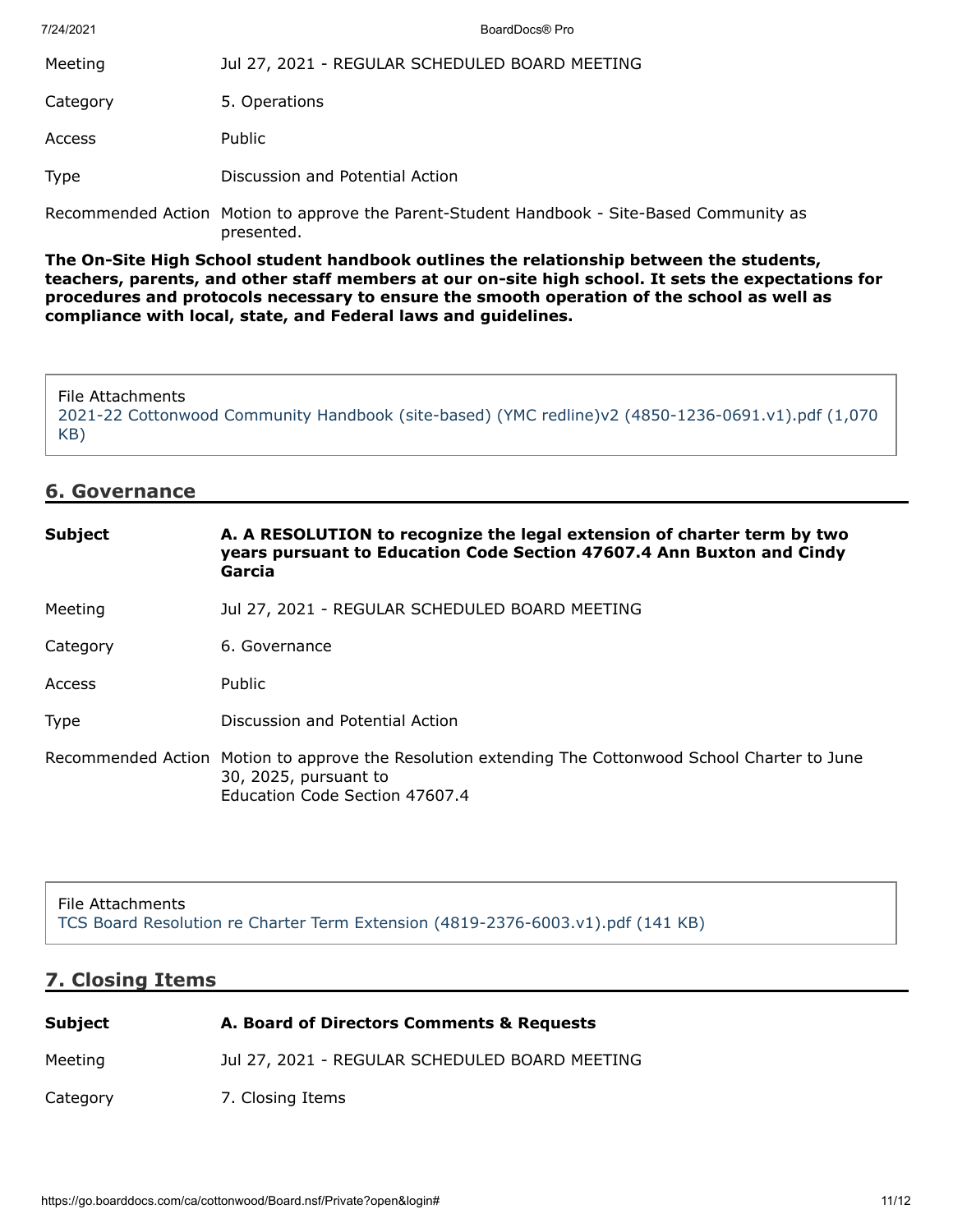| 7/24/2021   | BoardDocs® Pro                                                                                           |
|-------------|----------------------------------------------------------------------------------------------------------|
| Meeting     | Jul 27, 2021 - REGULAR SCHEDULED BOARD MEETING                                                           |
| Category    | 5. Operations                                                                                            |
| Access      | <b>Public</b>                                                                                            |
| <b>Type</b> | Discussion and Potential Action                                                                          |
|             | Recommended Action Motion to approve the Parent-Student Handbook - Site-Based Community as<br>presented. |

**The On-Site High School student handbook outlines the relationship between the students, teachers, parents, and other staff members at our on-site high school. It sets the expectations for procedures and protocols necessary to ensure the smooth operation of the school as well as compliance with local, state, and Federal laws and guidelines.**

File Attachments [2021-22 Cottonwood Community Handbook \(site-based\) \(YMC redline\)v2 \(4850-1236-0691.v1\).pdf \(1,070](https://go.boarddocs.com/ca/cottonwood/Board.nsf/files/C57UEZ7BC5B2/$file/2021-22%20Cottonwood%20Community%20Handbook%20(site-based)%20(YMC%20redline)v2%20(4850-1236-0691.v1).pdf) KB)

# **6. Governance**

| <b>Subject</b> | A. A RESOLUTION to recognize the legal extension of charter term by two<br>years pursuant to Education Code Section 47607.4 Ann Buxton and Cindy<br>Garcia     |
|----------------|----------------------------------------------------------------------------------------------------------------------------------------------------------------|
| Meeting        | Jul 27, 2021 - REGULAR SCHEDULED BOARD MEETING                                                                                                                 |
| Category       | 6. Governance                                                                                                                                                  |
| Access         | <b>Public</b>                                                                                                                                                  |
| <b>Type</b>    | Discussion and Potential Action                                                                                                                                |
|                | Recommended Action Motion to approve the Resolution extending The Cottonwood School Charter to June<br>30, 2025, pursuant to<br>Education Code Section 47607.4 |

File Attachments [TCS Board Resolution re Charter Term Extension \(4819-2376-6003.v1\).pdf \(141 KB\)](https://go.boarddocs.com/ca/cottonwood/Board.nsf/files/C56UY972FE1B/$file/TCS%20Board%20Resolution%20re%20Charter%20Term%20Extension%20(4819-2376-6003.v1).pdf)

### **7. Closing Items**

| Subject  | A. Board of Directors Comments & Requests      |
|----------|------------------------------------------------|
| Meeting  | Jul 27, 2021 - REGULAR SCHEDULED BOARD MEETING |
| Category | 7. Closing Items                               |